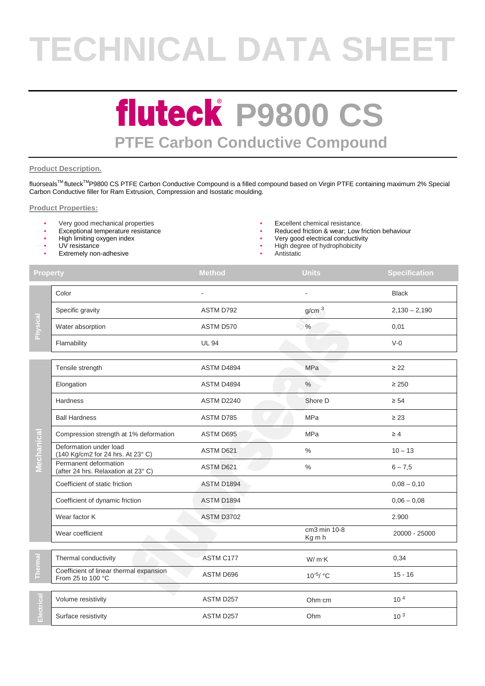# **TECHNICAL DATA SHEET**

### **fluteck P9800 CS PTFE Carbon Conductive Compound**

#### **Product Description.**

fluorseals™ fluteck<sup>™</sup>P9800 CS PTFE Carbon Conductive Compound is a filled compound based on Virgin PTFE containing maximum 2% Special Carbon Conductive filler for Ram Extrusion, Compression and Isostatic moulding.

#### **Product Properties:**

- Very good mechanical properties Excellent chemical resistance.
- 
- High limiting oxygen index
- UV resistance
- **Extremely non-adhesive**
- 
- Exceptional temperature resistance **•** Reduced friction & wear; Low friction behaviour<br>• High limiting oxygen index
	- Very good electrical conductivity
	- High degree of hydrophobicity
		- **Antistatic**

| <b>Property</b>                 |                                                              | <b>Method</b>     | <b>Units</b>           | <b>Specification</b> |
|---------------------------------|--------------------------------------------------------------|-------------------|------------------------|----------------------|
| Physical                        | Color                                                        |                   |                        | <b>Black</b>         |
|                                 | Specific gravity                                             | ASTM D792         | g/cm <sup>3</sup>      | $2,130 - 2,190$      |
|                                 | Water absorption                                             | ASTM D570         | $\%$                   | 0,01                 |
|                                 | Flamability                                                  | <b>UL 94</b>      |                        | $V-0$                |
| Mechanica                       | Tensile strength                                             | ASTM D4894        | MPa                    | $\geq 22$            |
|                                 | Elongation                                                   | ASTM D4894        | $\%$                   | $\geq 250$           |
|                                 | <b>Hardness</b>                                              | <b>ASTM D2240</b> | Shore D                | $\geq 54$            |
|                                 | <b>Ball Hardness</b>                                         | ASTM D785         | <b>MPa</b>             | $\geq 23$            |
|                                 | Compression strength at 1% deformation                       | ASTM D695         | <b>MPa</b>             | $\geq 4$             |
|                                 | Deformation under load<br>(140 Kg/cm2 for 24 hrs. At 23° C)  | ASTM D621         | $\frac{0}{0}$          | $10 - 13$            |
|                                 | Permanent deformation<br>(after 24 hrs. Relaxation at 23°C)  | ASTM D621         | $\%$                   | $6 - 7,5$            |
|                                 | Coefficient of static friction                               | <b>ASTM D1894</b> |                        | $0,08 - 0,10$        |
|                                 | Coefficient of dynamic friction                              | <b>ASTM D1894</b> |                        | $0,06 - 0,08$        |
|                                 | Wear factor K                                                | <b>ASTM D3702</b> |                        | 2.900                |
|                                 | Wear coefficient                                             |                   | cm3 min 10-8<br>Kg m h | 20000 - 25000        |
| $\overline{\mathbf{E}}$<br>Ther | Thermal conductivity                                         | ASTM C177         | W/mK                   | 0,34                 |
|                                 | Coefficient of linear thermal expansion<br>From 25 to 100 °C | ASTM D696         | $10^{-5}$ / °C         | $15 - 16$            |
| Electrical                      | Volume resistivity                                           | ASTM D257         | Ohm·cm                 | 10 <sup>4</sup>      |
|                                 | Surface resistivity                                          | ASTM D257         | Ohm                    | 10 <sup>3</sup>      |